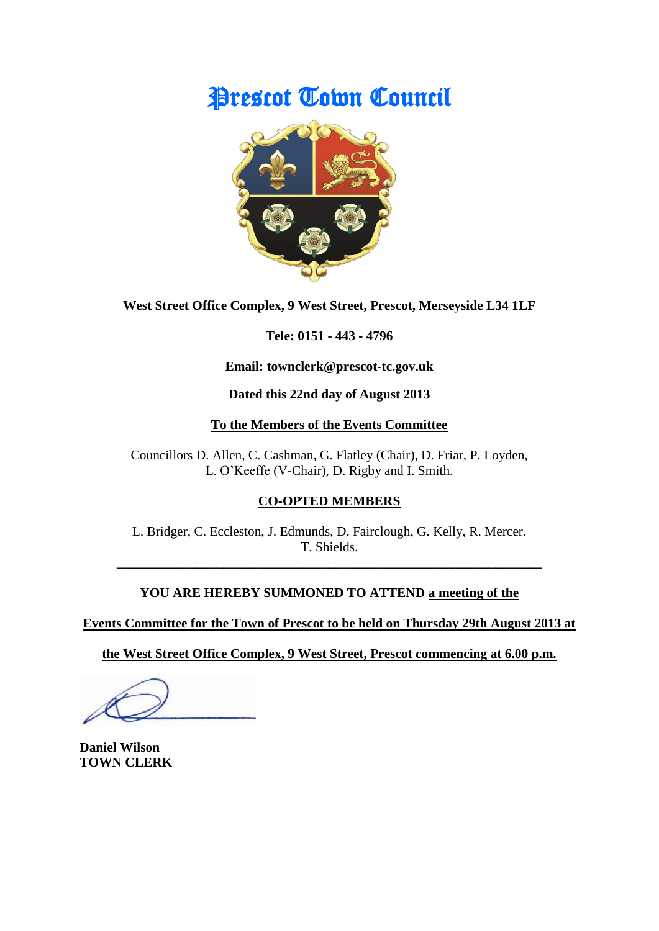# Prescot Town Council



**West Street Office Complex, 9 West Street, Prescot, Merseyside L34 1LF**

**Tele: 0151 - 443 - 4796**

**Email: townclerk@prescot-tc.gov.uk**

**Dated this 22nd day of August 2013**

## **To the Members of the Events Committee**

Councillors D. Allen, C. Cashman, G. Flatley (Chair), D. Friar, P. Loyden, L. O'Keeffe (V-Chair), D. Rigby and I. Smith.

# **CO-OPTED MEMBERS**

L. Bridger, C. Eccleston, J. Edmunds, D. Fairclough, G. Kelly, R. Mercer. T. Shields.

**\_\_\_\_\_\_\_\_\_\_\_\_\_\_\_\_\_\_\_\_\_\_\_\_\_\_\_\_\_\_\_\_\_\_\_\_\_\_\_\_\_\_\_\_\_\_\_\_\_\_\_\_\_\_\_\_\_\_\_\_\_\_\_\_**

# **YOU ARE HEREBY SUMMONED TO ATTEND a meeting of the**

**Events Committee for the Town of Prescot to be held on Thursday 29th August 2013 at**

**the West Street Office Complex, 9 West Street, Prescot commencing at 6.00 p.m.**

**Daniel Wilson TOWN CLERK**